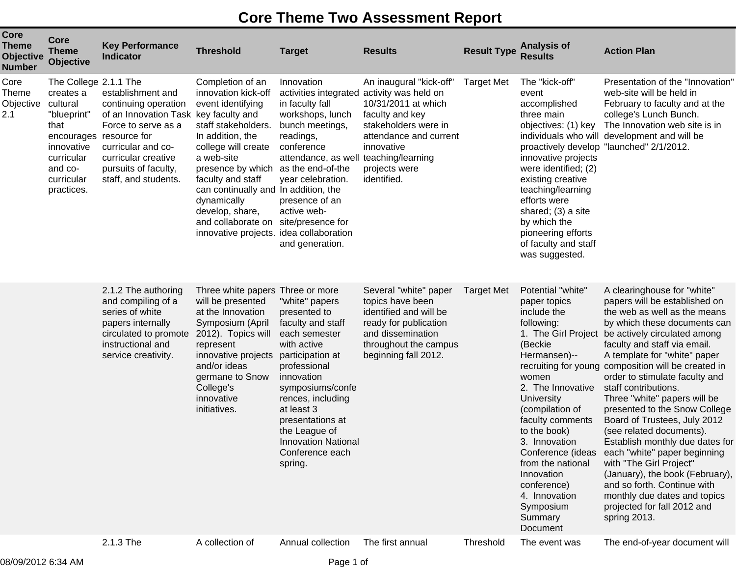## **Core Theme Two Assessment Report**

| Core<br><b>Theme</b><br><b>Objective</b><br><b>Number</b> | Core<br><b>Theme</b><br>Objective                                                                                                        | <b>Key Performance</b><br><b>Indicator</b>                                                                                                                                                                                        | <b>Threshold</b>                                                                                                                                                                                                                                                                                                                                    | <b>Target</b>                                                                                                                                                                                                                                                                                 | <b>Results</b>                                                                                                                                                                                                  | <b>Result Type</b> | <b>Analysis of</b><br><b>Results</b>                                                                                                                                                                                                                                                                                                               | <b>Action Plan</b>                                                                                                                                                                                                                                                                                                                                                                                                                                                                                                                                                                                                                                                                                                                          |
|-----------------------------------------------------------|------------------------------------------------------------------------------------------------------------------------------------------|-----------------------------------------------------------------------------------------------------------------------------------------------------------------------------------------------------------------------------------|-----------------------------------------------------------------------------------------------------------------------------------------------------------------------------------------------------------------------------------------------------------------------------------------------------------------------------------------------------|-----------------------------------------------------------------------------------------------------------------------------------------------------------------------------------------------------------------------------------------------------------------------------------------------|-----------------------------------------------------------------------------------------------------------------------------------------------------------------------------------------------------------------|--------------------|----------------------------------------------------------------------------------------------------------------------------------------------------------------------------------------------------------------------------------------------------------------------------------------------------------------------------------------------------|---------------------------------------------------------------------------------------------------------------------------------------------------------------------------------------------------------------------------------------------------------------------------------------------------------------------------------------------------------------------------------------------------------------------------------------------------------------------------------------------------------------------------------------------------------------------------------------------------------------------------------------------------------------------------------------------------------------------------------------------|
| Core<br><b>Theme</b><br>Objective<br>2.1                  | The College 2.1.1 The<br>creates a<br>cultural<br>"blueprint"<br>that<br>innovative<br>curricular<br>and co-<br>curricular<br>practices. | establishment and<br>continuing operation<br>of an Innovation Task key faculty and<br>Force to serve as a<br>encourages resource for<br>curricular and co-<br>curricular creative<br>pursuits of faculty,<br>staff, and students. | Completion of an<br>innovation kick-off<br>event identifying<br>staff stakeholders.<br>In addition, the<br>college will create<br>a web-site<br>presence by which as the end-of-the<br>faculty and staff<br>can continually and In addition, the<br>dynamically<br>develop, share,<br>and collaborate on<br>innovative projects. idea collaboration | Innovation<br>in faculty fall<br>workshops, lunch<br>bunch meetings,<br>readings,<br>conference<br>attendance, as well teaching/learning<br>year celebration.<br>presence of an<br>active web-<br>site/presence for<br>and generation.                                                        | An inaugural "kick-off"<br>activities integrated activity was held on<br>10/31/2011 at which<br>faculty and key<br>stakeholders were in<br>attendance and current<br>innovative<br>projects were<br>identified. | <b>Target Met</b>  | The "kick-off"<br>event<br>accomplished<br>three main<br>objectives: (1) key<br>proactively develop<br>innovative projects<br>were identified; (2)<br>existing creative<br>teaching/learning<br>efforts were<br>shared; (3) a site<br>by which the<br>pioneering efforts<br>of faculty and staff<br>was suggested.                                 | Presentation of the "Innovation"<br>web-site will be held in<br>February to faculty and at the<br>college's Lunch Bunch.<br>The Innovation web site is in<br>individuals who will development and will be<br>"launched" 2/1/2012.                                                                                                                                                                                                                                                                                                                                                                                                                                                                                                           |
|                                                           |                                                                                                                                          | 2.1.2 The authoring<br>and compiling of a<br>series of white<br>papers internally<br>circulated to promote<br>instructional and<br>service creativity.                                                                            | Three white papers Three or more<br>will be presented<br>at the Innovation<br>Symposium (April<br>2012). Topics will<br>represent<br>innovative projects<br>and/or ideas<br>germane to Snow<br>College's<br>innovative<br>initiatives.                                                                                                              | "white" papers<br>presented to<br>faculty and staff<br>each semester<br>with active<br>participation at<br>professional<br>innovation<br>symposiums/confe<br>rences, including<br>at least 3<br>presentations at<br>the League of<br><b>Innovation National</b><br>Conference each<br>spring. | Several "white" paper<br>topics have been<br>identified and will be<br>ready for publication<br>and dissemination<br>throughout the campus<br>beginning fall 2012.                                              | <b>Target Met</b>  | Potential "white"<br>paper topics<br>include the<br>following:<br>1. The Girl Project<br>(Beckie<br>Hermansen)--<br>women<br>2. The Innovative<br><b>University</b><br>(compilation of<br>faculty comments<br>to the book)<br>3. Innovation<br>from the national<br>Innovation<br>conference)<br>4. Innovation<br>Symposium<br>Summary<br>Document | A clearinghouse for "white"<br>papers will be established on<br>the web as well as the means<br>by which these documents can<br>be actively circulated among<br>faculty and staff via email.<br>A template for "white" paper<br>recruiting for young composition will be created in<br>order to stimulate faculty and<br>staff contributions.<br>Three "white" papers will be<br>presented to the Snow College<br>Board of Trustees, July 2012<br>(see related documents).<br>Establish monthly due dates for<br>Conference (ideas each "white" paper beginning<br>with "The Girl Project"<br>(January), the book (February),<br>and so forth. Continue with<br>monthly due dates and topics<br>projected for fall 2012 and<br>spring 2013. |
|                                                           |                                                                                                                                          | 2.1.3 The                                                                                                                                                                                                                         | A collection of                                                                                                                                                                                                                                                                                                                                     | Annual collection                                                                                                                                                                                                                                                                             | The first annual                                                                                                                                                                                                | Threshold          | The event was                                                                                                                                                                                                                                                                                                                                      | The end-of-year document will                                                                                                                                                                                                                                                                                                                                                                                                                                                                                                                                                                                                                                                                                                               |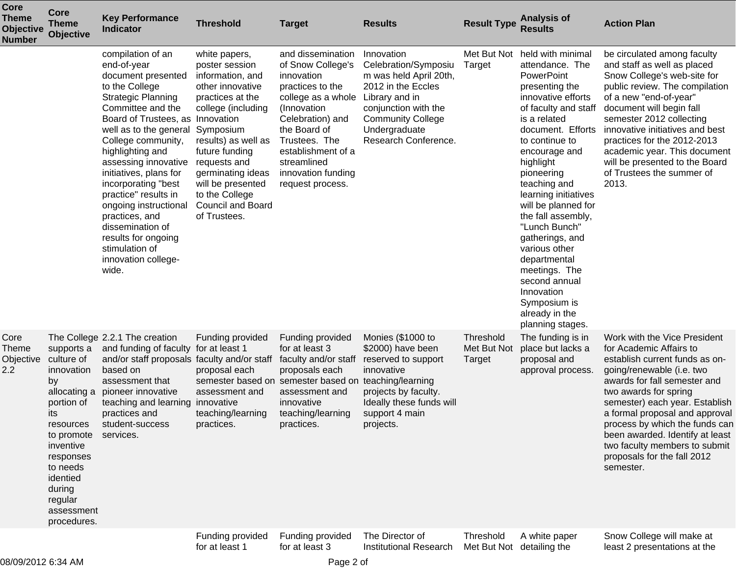| <b>Core</b><br><b>Theme</b><br>Objective<br><b>Number</b> | <b>Core</b><br><b>Theme</b><br><b>Objective</b>                                                                                                                                                                  | <b>Key Performance</b><br><b>Indicator</b>                                                                                                                                                                                                                                                                                                                                                                                                                                  | <b>Threshold</b>                                                                                                                                                                                                                                                                                | <b>Target</b>                                                                                                                                                                                                                                     | <b>Results</b>                                                                                                                                                                                    | <b>Result Type</b>                 | <b>Analysis of</b><br><b>Results</b>                                                                                                                                                                                                                                                                                                                                                                                                                                                  | <b>Action Plan</b>                                                                                                                                                                                                                                                                                                                                                                                    |
|-----------------------------------------------------------|------------------------------------------------------------------------------------------------------------------------------------------------------------------------------------------------------------------|-----------------------------------------------------------------------------------------------------------------------------------------------------------------------------------------------------------------------------------------------------------------------------------------------------------------------------------------------------------------------------------------------------------------------------------------------------------------------------|-------------------------------------------------------------------------------------------------------------------------------------------------------------------------------------------------------------------------------------------------------------------------------------------------|---------------------------------------------------------------------------------------------------------------------------------------------------------------------------------------------------------------------------------------------------|---------------------------------------------------------------------------------------------------------------------------------------------------------------------------------------------------|------------------------------------|---------------------------------------------------------------------------------------------------------------------------------------------------------------------------------------------------------------------------------------------------------------------------------------------------------------------------------------------------------------------------------------------------------------------------------------------------------------------------------------|-------------------------------------------------------------------------------------------------------------------------------------------------------------------------------------------------------------------------------------------------------------------------------------------------------------------------------------------------------------------------------------------------------|
|                                                           |                                                                                                                                                                                                                  | compilation of an<br>end-of-year<br>document presented<br>to the College<br><b>Strategic Planning</b><br>Committee and the<br>Board of Trustees, as Innovation<br>well as to the general<br>College community,<br>highlighting and<br>assessing innovative<br>initiatives, plans for<br>incorporating "best<br>practice" results in<br>ongoing instructional<br>practices, and<br>dissemination of<br>results for ongoing<br>stimulation of<br>innovation college-<br>wide. | white papers,<br>poster session<br>information, and<br>other innovative<br>practices at the<br>college (including<br>Symposium<br>results) as well as<br>future funding<br>requests and<br>germinating ideas<br>will be presented<br>to the College<br><b>Council and Board</b><br>of Trustees. | and dissemination<br>of Snow College's<br>innovation<br>practices to the<br>college as a whole<br>(Innovation<br>Celebration) and<br>the Board of<br>Trustees. The<br>establishment of a<br>streamlined<br>innovation funding<br>request process. | Innovation<br>Celebration/Symposiu<br>m was held April 20th,<br>2012 in the Eccles<br>Library and in<br>conjunction with the<br><b>Community College</b><br>Undergraduate<br>Research Conference. | Met But Not<br>Target              | held with minimal<br>attendance. The<br>PowerPoint<br>presenting the<br>innovative efforts<br>of faculty and staff<br>is a related<br>document. Efforts<br>to continue to<br>encourage and<br>highlight<br>pioneering<br>teaching and<br>learning initiatives<br>will be planned for<br>the fall assembly,<br>"Lunch Bunch"<br>gatherings, and<br>various other<br>departmental<br>meetings. The<br>second annual<br>Innovation<br>Symposium is<br>already in the<br>planning stages. | be circulated among faculty<br>and staff as well as placed<br>Snow College's web-site for<br>public review. The compilation<br>of a new "end-of-year"<br>document will begin fall<br>semester 2012 collecting<br>innovative initiatives and best<br>practices for the 2012-2013<br>academic year. This document<br>will be presented to the Board<br>of Trustees the summer of<br>2013.               |
| Core<br>Theme<br>Objective<br>2.2                         | supports a<br>culture of<br>innovation<br>by<br>allocating a<br>portion of<br>its<br>resources<br>to promote<br>inventive<br>responses<br>to needs<br>identied<br>during<br>regular<br>assessment<br>procedures. | The College 2.2.1 The creation<br>and funding of faculty<br>and/or staff proposals faculty and/or staff<br>based on<br>assessment that<br>pioneer innovative<br>teaching and learning innovative<br>practices and<br>student-success<br>services.                                                                                                                                                                                                                           | Funding provided<br>for at least 1<br>proposal each<br>semester based on<br>assessment and<br>teaching/learning<br>practices.                                                                                                                                                                   | Funding provided<br>for at least 3<br>faculty and/or staff<br>proposals each<br>semester based on<br>assessment and<br>innovative<br>teaching/learning<br>practices.                                                                              | Monies (\$1000 to<br>\$2000) have been<br>reserved to support<br>innovative<br>teaching/learning<br>projects by faculty.<br>Ideally these funds will<br>support 4 main<br>projects.               | Threshold<br>Met But Not<br>Target | The funding is in<br>place but lacks a<br>proposal and<br>approval process.                                                                                                                                                                                                                                                                                                                                                                                                           | Work with the Vice President<br>for Academic Affairs to<br>establish current funds as on-<br>going/renewable (i.e. two<br>awards for fall semester and<br>two awards for spring<br>semester) each year. Establish<br>a formal proposal and approval<br>process by which the funds can<br>been awarded. Identify at least<br>two faculty members to submit<br>proposals for the fall 2012<br>semester. |
|                                                           |                                                                                                                                                                                                                  |                                                                                                                                                                                                                                                                                                                                                                                                                                                                             | Funding provided<br>for at least 1                                                                                                                                                                                                                                                              | Funding provided<br>for at least 3                                                                                                                                                                                                                | The Director of<br>Institutional Research                                                                                                                                                         | Threshold<br>Met But Not           | A white paper<br>detailing the                                                                                                                                                                                                                                                                                                                                                                                                                                                        | Snow College will make at<br>least 2 presentations at the                                                                                                                                                                                                                                                                                                                                             |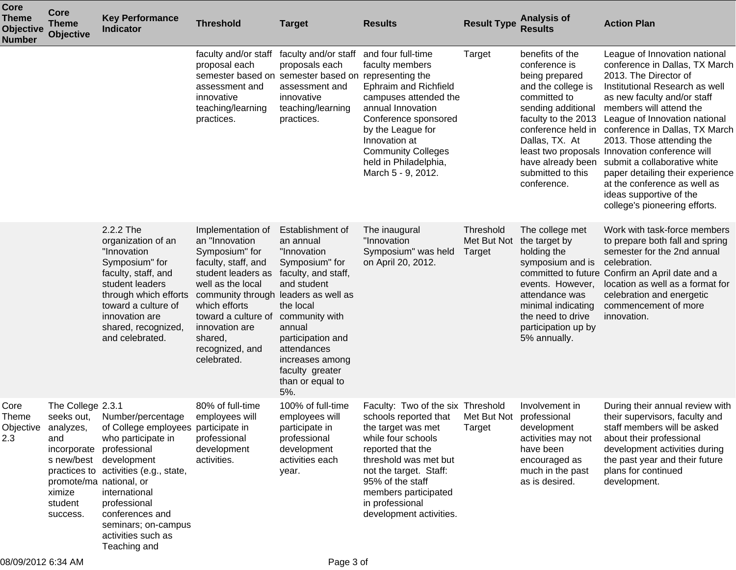| <b>Core</b><br><b>Theme</b><br><b>Objective</b><br><b>Number</b> | <b>Core</b><br><b>Theme</b><br><b>Objective</b>                                                   | <b>Key Performance</b><br><b>Indicator</b>                                                                                                                                                                                                                                                                | <b>Threshold</b>                                                                                                                                                                                                                                    | <b>Target</b>                                                                                                                                                                                                                                                            | <b>Results</b>                                                                                                                                                                                                                                                                                          | <b>Result Type</b>                 | <b>Analysis of</b><br><b>Results</b>                                                                                                                                                                                                   | <b>Action Plan</b>                                                                                                                                                                                                                                                                                                                                                                                                                                                                                     |
|------------------------------------------------------------------|---------------------------------------------------------------------------------------------------|-----------------------------------------------------------------------------------------------------------------------------------------------------------------------------------------------------------------------------------------------------------------------------------------------------------|-----------------------------------------------------------------------------------------------------------------------------------------------------------------------------------------------------------------------------------------------------|--------------------------------------------------------------------------------------------------------------------------------------------------------------------------------------------------------------------------------------------------------------------------|---------------------------------------------------------------------------------------------------------------------------------------------------------------------------------------------------------------------------------------------------------------------------------------------------------|------------------------------------|----------------------------------------------------------------------------------------------------------------------------------------------------------------------------------------------------------------------------------------|--------------------------------------------------------------------------------------------------------------------------------------------------------------------------------------------------------------------------------------------------------------------------------------------------------------------------------------------------------------------------------------------------------------------------------------------------------------------------------------------------------|
|                                                                  |                                                                                                   |                                                                                                                                                                                                                                                                                                           | faculty and/or staff<br>proposal each<br>semester based on<br>assessment and<br>innovative<br>teaching/learning<br>practices.                                                                                                                       | faculty and/or staff<br>proposals each<br>semester based on representing the<br>assessment and<br>innovative<br>teaching/learning<br>practices.                                                                                                                          | and four full-time<br>faculty members<br>Ephraim and Richfield<br>campuses attended the<br>annual Innovation<br>Conference sponsored<br>by the League for<br>Innovation at<br><b>Community Colleges</b><br>held in Philadelphia,<br>March 5 - 9, 2012.                                                  | Target                             | benefits of the<br>conference is<br>being prepared<br>and the college is<br>committed to<br>sending additional<br>faculty to the 2013<br>conference held in<br>Dallas, TX. At<br>have already been<br>submitted to this<br>conference. | League of Innovation national<br>conference in Dallas, TX March<br>2013. The Director of<br>Institutional Research as well<br>as new faculty and/or staff<br>members will attend the<br>League of Innovation national<br>conference in Dallas, TX March<br>2013. Those attending the<br>least two proposals Innovation conference will<br>submit a collaborative white<br>paper detailing their experience<br>at the conference as well as<br>ideas supportive of the<br>college's pioneering efforts. |
|                                                                  |                                                                                                   | 2.2.2 The<br>organization of an<br>"Innovation<br>Symposium" for<br>faculty, staff, and<br>student leaders<br>through which efforts<br>toward a culture of<br>innovation are<br>shared, recognized,<br>and celebrated.                                                                                    | Implementation of<br>an "Innovation<br>Symposium" for<br>faculty, staff, and<br>student leaders as<br>well as the local<br>community through<br>which efforts<br>toward a culture of<br>innovation are<br>shared,<br>recognized, and<br>celebrated. | Establishment of<br>an annual<br>"Innovation<br>Symposium" for<br>faculty, and staff,<br>and student<br>leaders as well as<br>the local<br>community with<br>annual<br>participation and<br>attendances<br>increases among<br>faculty greater<br>than or equal to<br>5%. | The inaugural<br>"Innovation<br>Symposium" was held<br>on April 20, 2012.                                                                                                                                                                                                                               | Threshold<br>Met But Not<br>Target | The college met<br>the target by<br>holding the<br>symposium and is<br>events. However,<br>attendance was<br>minimal indicating<br>the need to drive<br>participation up by<br>5% annually.                                            | Work with task-force members<br>to prepare both fall and spring<br>semester for the 2nd annual<br>celebration.<br>committed to future Confirm an April date and a<br>location as well as a format for<br>celebration and energetic<br>commencement of more<br>innovation.                                                                                                                                                                                                                              |
| Core<br>Theme<br>Objective<br>2.3                                | The College 2.3.1<br>analyzes,<br>and<br>promote/ma national, or<br>ximize<br>student<br>success. | seeks out, Number/percentage<br>of College employees participate in<br>who participate in<br>incorporate professional<br>s new/best development<br>practices to activities (e.g., state,<br>international<br>professional<br>conferences and<br>seminars; on-campus<br>activities such as<br>Teaching and | 80% of full-time<br>employees will<br>professional<br>development<br>activities.                                                                                                                                                                    | 100% of full-time<br>employees will<br>participate in<br>professional<br>development<br>activities each<br>year.                                                                                                                                                         | Faculty: Two of the six Threshold<br>schools reported that    Met But Not    professional<br>the target was met<br>while four schools<br>reported that the<br>threshold was met but<br>not the target. Staff:<br>95% of the staff<br>members participated<br>in professional<br>development activities. | Target                             | Involvement in<br>development<br>activities may not<br>have been<br>encouraged as<br>much in the past<br>as is desired.                                                                                                                | During their annual review with<br>their supervisors, faculty and<br>staff members will be asked<br>about their professional<br>development activities during<br>the past year and their future<br>plans for continued<br>development.                                                                                                                                                                                                                                                                 |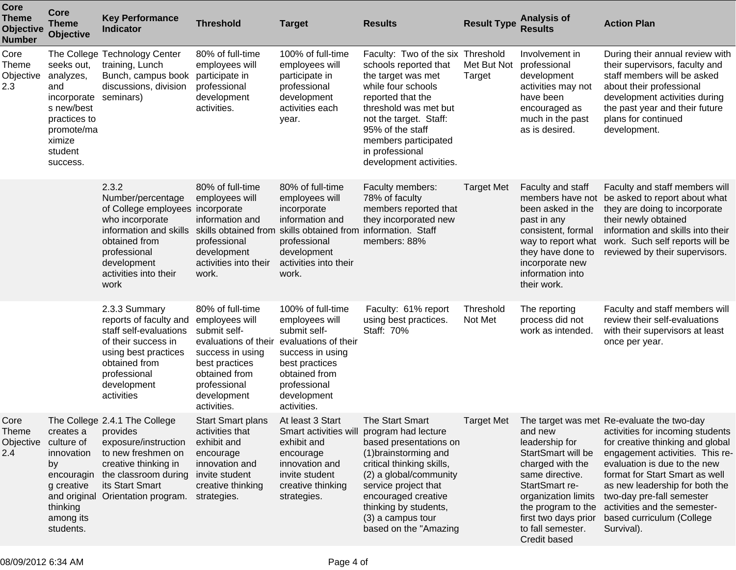| <b>Core</b><br><b>Theme</b><br>Objective<br><b>Number</b> | Core<br><b>Theme</b><br><b>Objective</b>                                                                                   | <b>Key Performance</b><br><b>Indicator</b>                                                                                                                                                      | <b>Threshold</b>                                                                                                                                                                | <b>Target</b>                                                                                                                                                                    | <b>Results</b>                                                                                                                                                                                                                                                                | <b>Result Type</b>    | <b>Analysis of</b><br><b>Results</b>                                                                                                                                                                               | <b>Action Plan</b>                                                                                                                                                                                                                                                                                                                                                |
|-----------------------------------------------------------|----------------------------------------------------------------------------------------------------------------------------|-------------------------------------------------------------------------------------------------------------------------------------------------------------------------------------------------|---------------------------------------------------------------------------------------------------------------------------------------------------------------------------------|----------------------------------------------------------------------------------------------------------------------------------------------------------------------------------|-------------------------------------------------------------------------------------------------------------------------------------------------------------------------------------------------------------------------------------------------------------------------------|-----------------------|--------------------------------------------------------------------------------------------------------------------------------------------------------------------------------------------------------------------|-------------------------------------------------------------------------------------------------------------------------------------------------------------------------------------------------------------------------------------------------------------------------------------------------------------------------------------------------------------------|
| Core<br>Theme<br>Objective<br>2.3                         | seeks out,<br>analyzes,<br>and<br>incorporate<br>s new/best<br>practices to<br>promote/ma<br>ximize<br>student<br>success. | The College Technology Center<br>training, Lunch<br>Bunch, campus book<br>discussions, division<br>seminars)                                                                                    | 80% of full-time<br>employees will<br>participate in<br>professional<br>development<br>activities.                                                                              | 100% of full-time<br>employees will<br>participate in<br>professional<br>development<br>activities each<br>year.                                                                 | Faculty: Two of the six Threshold<br>schools reported that<br>the target was met<br>while four schools<br>reported that the<br>threshold was met but<br>not the target. Staff:<br>95% of the staff<br>members participated<br>in professional<br>development activities.      | Met But Not<br>Target | Involvement in<br>professional<br>development<br>activities may not<br>have been<br>encouraged as<br>much in the past<br>as is desired.                                                                            | During their annual review with<br>their supervisors, faculty and<br>staff members will be asked<br>about their professional<br>development activities during<br>the past year and their future<br>plans for continued<br>development.                                                                                                                            |
|                                                           |                                                                                                                            | 2.3.2<br>Number/percentage<br>of College employees incorporate<br>who incorporate<br>information and skills<br>obtained from<br>professional<br>development<br>activities into their<br>work    | 80% of full-time<br>employees will<br>information and<br>skills obtained from<br>professional<br>development<br>activities into their<br>work.                                  | 80% of full-time<br>employees will<br>incorporate<br>information and<br>skills obtained from information. Staff<br>professional<br>development<br>activities into their<br>work. | Faculty members:<br>78% of faculty<br>members reported that<br>they incorporated new<br>members: 88%                                                                                                                                                                          | <b>Target Met</b>     | Faculty and staff<br>members have not<br>been asked in the<br>past in any<br>consistent, formal<br>way to report what<br>they have done to<br>incorporate new<br>information into<br>their work.                   | Faculty and staff members will<br>be asked to report about what<br>they are doing to incorporate<br>their newly obtained<br>information and skills into their<br>work. Such self reports will be<br>reviewed by their supervisors.                                                                                                                                |
|                                                           |                                                                                                                            | 2.3.3 Summary<br>reports of faculty and<br>staff self-evaluations<br>of their success in<br>using best practices<br>obtained from<br>professional<br>development<br>activities                  | 80% of full-time<br>employees will<br>submit self-<br>evaluations of their<br>success in using<br>best practices<br>obtained from<br>professional<br>development<br>activities. | 100% of full-time<br>employees will<br>submit self-<br>evaluations of their<br>success in using<br>best practices<br>obtained from<br>professional<br>development<br>activities. | Faculty: 61% report<br>using best practices.<br>Staff: 70%                                                                                                                                                                                                                    | Threshold<br>Not Met  | The reporting<br>process did not<br>work as intended.                                                                                                                                                              | Faculty and staff members will<br>review their self-evaluations<br>with their supervisors at least<br>once per year.                                                                                                                                                                                                                                              |
| Core<br><b>Theme</b><br>Objective<br>2.4                  | creates a<br>culture of<br>innovation<br>by<br>encouragin<br>g creative<br>thinking<br>among its<br>students.              | The College 2.4.1 The College<br>provides<br>exposure/instruction<br>to new freshmen on<br>creative thinking in<br>the classroom during<br>its Start Smart<br>and original Orientation program. | <b>Start Smart plans</b><br>activities that<br>exhibit and<br>encourage<br>innovation and<br>invite student<br>creative thinking<br>strategies.                                 | At least 3 Start<br>Smart activities will<br>exhibit and<br>encourage<br>innovation and<br>invite student<br>creative thinking<br>strategies.                                    | <b>The Start Smart</b><br>program had lecture<br>based presentations on<br>(1) brainstorming and<br>critical thinking skills,<br>(2) a global/community<br>service project that<br>encouraged creative<br>thinking by students,<br>(3) a campus tour<br>based on the "Amazing | <b>Target Met</b>     | and new<br>leadership for<br>StartSmart will be<br>charged with the<br>same directive.<br>StartSmart re-<br>organization limits<br>the program to the<br>first two days prior<br>to fall semester.<br>Credit based | The target was met Re-evaluate the two-day<br>activities for incoming students<br>for creative thinking and global<br>engagement activities. This re-<br>evaluation is due to the new<br>format for Start Smart as well<br>as new leadership for both the<br>two-day pre-fall semester<br>activities and the semester-<br>based curriculum (College<br>Survival). |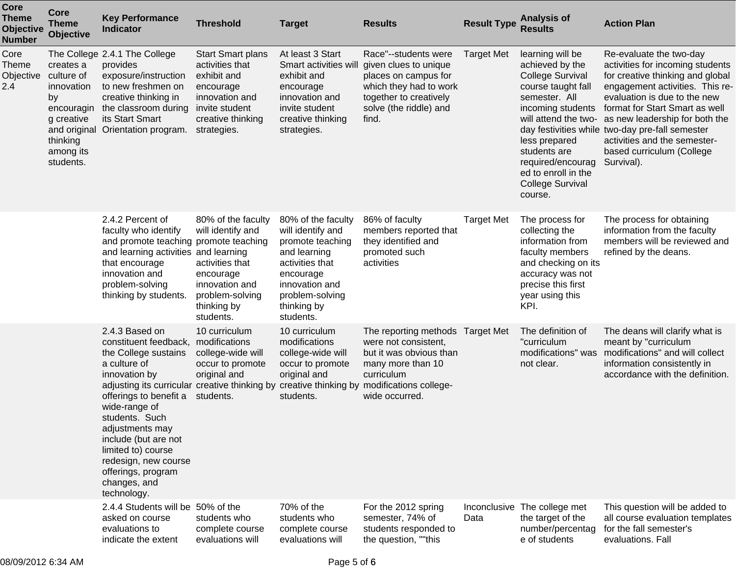| <b>Core</b><br><b>Theme</b><br><b>Objective</b><br><b>Number</b> | <b>Core</b><br><b>Theme</b><br><b>Objective</b>                                                               | <b>Key Performance</b><br><b>Indicator</b>                                                                                                                                                                                                                                                                                                                   | <b>Threshold</b>                                                                                                                                | <b>Target</b>                                                                                                                                                                | <b>Results</b>                                                                                                                                                                          | <b>Result Type</b> | <b>Analysis of</b><br><b>Results</b>                                                                                                                                                                                                                                  | <b>Action Plan</b>                                                                                                                                                                                                                                                                                                                                                   |
|------------------------------------------------------------------|---------------------------------------------------------------------------------------------------------------|--------------------------------------------------------------------------------------------------------------------------------------------------------------------------------------------------------------------------------------------------------------------------------------------------------------------------------------------------------------|-------------------------------------------------------------------------------------------------------------------------------------------------|------------------------------------------------------------------------------------------------------------------------------------------------------------------------------|-----------------------------------------------------------------------------------------------------------------------------------------------------------------------------------------|--------------------|-----------------------------------------------------------------------------------------------------------------------------------------------------------------------------------------------------------------------------------------------------------------------|----------------------------------------------------------------------------------------------------------------------------------------------------------------------------------------------------------------------------------------------------------------------------------------------------------------------------------------------------------------------|
| Core<br><b>Theme</b><br>Objective<br>2.4                         | creates a<br>culture of<br>innovation<br>by<br>encouragin<br>g creative<br>thinking<br>among its<br>students. | The College 2.4.1 The College<br>provides<br>exposure/instruction<br>to new freshmen on<br>creative thinking in<br>the classroom during<br>its Start Smart<br>and original Orientation program.                                                                                                                                                              | <b>Start Smart plans</b><br>activities that<br>exhibit and<br>encourage<br>innovation and<br>invite student<br>creative thinking<br>strategies. | At least 3 Start<br>Smart activities wil<br>exhibit and<br>encourage<br>innovation and<br>invite student<br>creative thinking<br>strategies.                                 | Race"--students were<br>given clues to unique<br>places on campus for<br>which they had to work<br>together to creatively<br>solve (the riddle) and<br>find.                            | <b>Target Met</b>  | learning will be<br>achieved by the<br><b>College Survival</b><br>course taught fall<br>semester. All<br>incoming students<br>will attend the two-<br>less prepared<br>students are<br>required/encourag<br>ed to enroll in the<br><b>College Survival</b><br>course. | Re-evaluate the two-day<br>activities for incoming students<br>for creative thinking and global<br>engagement activities. This re-<br>evaluation is due to the new<br>format for Start Smart as well<br>as new leadership for both the<br>day festivities while two-day pre-fall semester<br>activities and the semester-<br>based curriculum (College<br>Survival). |
|                                                                  |                                                                                                               | 2.4.2 Percent of<br>faculty who identify<br>and promote teaching promote teaching<br>and learning activities and learning<br>that encourage<br>innovation and<br>problem-solving<br>thinking by students.                                                                                                                                                    | 80% of the faculty<br>will identify and<br>activities that<br>encourage<br>innovation and<br>problem-solving<br>thinking by<br>students.        | 80% of the faculty<br>will identify and<br>promote teaching<br>and learning<br>activities that<br>encourage<br>innovation and<br>problem-solving<br>thinking by<br>students. | 86% of faculty<br>members reported that<br>they identified and<br>promoted such<br>activities                                                                                           | <b>Target Met</b>  | The process for<br>collecting the<br>information from<br>faculty members<br>and checking on its<br>accuracy was not<br>precise this first<br>year using this<br>KPI.                                                                                                  | The process for obtaining<br>information from the faculty<br>members will be reviewed and<br>refined by the deans.                                                                                                                                                                                                                                                   |
|                                                                  |                                                                                                               | 2.4.3 Based on<br>constituent feedback,<br>the College sustains<br>a culture of<br>innovation by<br>adjusting its curricular creative thinking by<br>offerings to benefit a<br>wide-range of<br>students. Such<br>adjustments may<br>include (but are not<br>limited to) course<br>redesign, new course<br>offerings, program<br>changes, and<br>technology. | 10 curriculum<br>modifications<br>college-wide will<br>occur to promote<br>original and<br>students.                                            | 10 curriculum<br>modifications<br>college-wide will<br>occur to promote<br>original and<br>students.                                                                         | The reporting methods Target Met<br>were not consistent,<br>but it was obvious than<br>many more than 10<br>curriculum<br>creative thinking by modifications college-<br>wide occurred. |                    | The definition of<br>"curriculum<br>modifications" was<br>not clear.                                                                                                                                                                                                  | The deans will clarify what is<br>meant by "curriculum<br>modifications" and will collect<br>information consistently in<br>accordance with the definition.                                                                                                                                                                                                          |
|                                                                  |                                                                                                               | 2.4.4 Students will be 50% of the<br>asked on course<br>evaluations to<br>indicate the extent                                                                                                                                                                                                                                                                | students who<br>complete course<br>evaluations will                                                                                             | 70% of the<br>students who<br>complete course<br>evaluations will                                                                                                            | For the 2012 spring<br>semester, 74% of<br>students responded to<br>the question, ""this                                                                                                | Data               | Inconclusive The college met<br>the target of the<br>number/percentag<br>e of students                                                                                                                                                                                | This question will be added to<br>all course evaluation templates<br>for the fall semester's<br>evaluations. Fall                                                                                                                                                                                                                                                    |